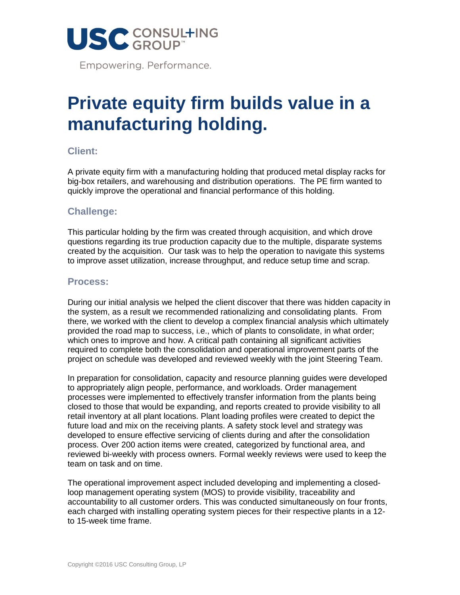

Empowering. Performance.

# **Private equity firm builds value in a manufacturing holding.**

## **Client:**

A private equity firm with a manufacturing holding that produced metal display racks for big-box retailers, and warehousing and distribution operations. The PE firm wanted to quickly improve the operational and financial performance of this holding.

### **Challenge:**

This particular holding by the firm was created through acquisition, and which drove questions regarding its true production capacity due to the multiple, disparate systems created by the acquisition. Our task was to help the operation to navigate this systems to improve asset utilization, increase throughput, and reduce setup time and scrap.

#### **Process:**

During our initial analysis we helped the client discover that there was hidden capacity in the system, as a result we recommended rationalizing and consolidating plants. From there, we worked with the client to develop a complex financial analysis which ultimately provided the road map to success, i.e., which of plants to consolidate, in what order; which ones to improve and how. A critical path containing all significant activities required to complete both the consolidation and operational improvement parts of the project on schedule was developed and reviewed weekly with the joint Steering Team.

In preparation for consolidation, capacity and resource planning guides were developed to appropriately align people, performance, and workloads. Order management processes were implemented to effectively transfer information from the plants being closed to those that would be expanding, and reports created to provide visibility to all retail inventory at all plant locations. Plant loading profiles were created to depict the future load and mix on the receiving plants. A safety stock level and strategy was developed to ensure effective servicing of clients during and after the consolidation process. Over 200 action items were created, categorized by functional area, and reviewed bi-weekly with process owners. Formal weekly reviews were used to keep the team on task and on time.

The operational improvement aspect included developing and implementing a closedloop management operating system (MOS) to provide visibility, traceability and accountability to all customer orders. This was conducted simultaneously on four fronts, each charged with installing operating system pieces for their respective plants in a 12 to 15-week time frame.